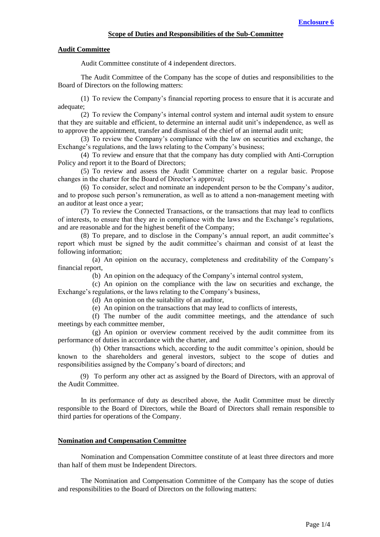## **Audit Committee**

Audit Committee constitute of 4 independent directors.

The Audit Committee of the Company has the scope of duties and responsibilities to the Board of Directors on the following matters:

(1) To review the Company's financial reporting process to ensure that it is accurate and adequate;

(2) To review the Company's internal control system and internal audit system to ensure that they are suitable and efficient, to determine an internal audit unit's independence, as well as to approve the appointment, transfer and dismissal of the chief of an internal audit unit;

(3) To review the Company's compliance with the law on securities and exchange, the Exchange's regulations, and the laws relating to the Company's business;

(4) To review and ensure that that the company has duty complied with Anti-Corruption Policy and report it to the Board of Directors;

(5) To review and assess the Audit Committee charter on a regular basic. Propose changes in the charter for the Board of Director's approval;

(6) To consider, select and nominate an independent person to be the Company's auditor, and to propose such person's remuneration, as well as to attend a non-management meeting with an auditor at least once a year;

(7) To review the Connected Transactions, or the transactions that may lead to conflicts of interests, to ensure that they are in compliance with the laws and the Exchange's regulations, and are reasonable and for the highest benefit of the Company;

(8) To prepare, and to disclose in the Company's annual report, an audit committee's report which must be signed by the audit committee's chairman and consist of at least the following information;

(a) An opinion on the accuracy, completeness and creditability of the Company's financial report,

(b) An opinion on the adequacy of the Company's internal control system,

(c) An opinion on the compliance with the law on securities and exchange, the Exchange's regulations, or the laws relating to the Company's business,

(d) An opinion on the suitability of an auditor,

(e) An opinion on the transactions that may lead to conflicts of interests,

(f) The number of the audit committee meetings, and the attendance of such meetings by each committee member,

(g) An opinion or overview comment received by the audit committee from its performance of duties in accordance with the charter, and

(h) Other transactions which, according to the audit committee's opinion, should be known to the shareholders and general investors, subject to the scope of duties and responsibilities assigned by the Company's board of directors; and

(9) To perform any other act as assigned by the Board of Directors, with an approval of the Audit Committee.

 In its performance of duty as described above, the Audit Committee must be directly responsible to the Board of Directors, while the Board of Directors shall remain responsible to third parties for operations of the Company.

## **Nomination and Compensation Committee**

Nomination and Compensation Committee constitute of at least three directors and more than half of them must be Independent Directors.

The Nomination and Compensation Committee of the Company has the scope of duties and responsibilities to the Board of Directors on the following matters: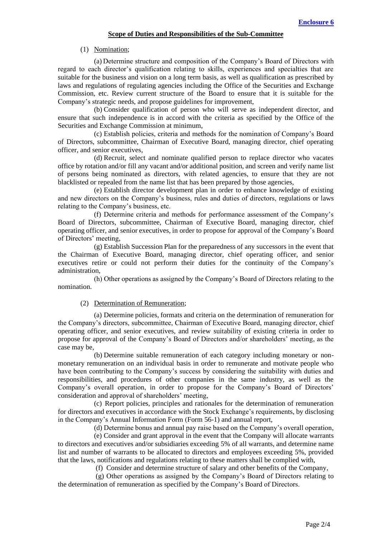#### **Scope of Duties and Responsibilities of the Sub-Committee**

(1) Nomination;

(a) Determine structure and composition of the Company's Board of Directors with regard to each director's qualification relating to skills, experiences and specialties that are suitable for the business and vision on a long term basis, as well as qualification as prescribed by laws and regulations of regulating agencies including the Office of the Securities and Exchange Commission, etc. Review current structure of the Board to ensure that it is suitable for the Company's strategic needs, and propose guidelines for improvement,

(b) Consider qualification of person who will serve as independent director, and ensure that such independence is in accord with the criteria as specified by the Office of the Securities and Exchange Commission at minimum,

(c) Establish policies, criteria and methods for the nomination of Company's Board of Directors, subcommittee, Chairman of Executive Board, managing director, chief operating officer, and senior executives,

(d) Recruit, select and nominate qualified person to replace director who vacates office by rotation and/or fill any vacant and/or additional position, and screen and verify name list of persons being nominated as directors, with related agencies, to ensure that they are not blacklisted or repealed from the name list that has been prepared by those agencies,

(e) Establish director development plan in order to enhance knowledge of existing and new directors on the Company's business, rules and duties of directors, regulations or laws relating to the Company's business, etc.

(f) Determine criteria and methods for performance assessment of the Company's Board of Directors, subcommittee, Chairman of Executive Board, managing director, chief operating officer, and senior executives, in order to propose for approval of the Company's Board of Directors' meeting,

(g) Establish Succession Plan for the preparedness of any successors in the event that the Chairman of Executive Board, managing director, chief operating officer, and senior executives retire or could not perform their duties for the continuity of the Company's administration,

(h) Other operations as assigned by the Company's Board of Directors relating to the nomination.

# (2) Determination of Remuneration;

(a) Determine policies, formats and criteria on the determination of remuneration for the Company's directors, subcommittee, Chairman of Executive Board, managing director, chief operating officer, and senior executives, and review suitability of existing criteria in order to propose for approval of the Company's Board of Directors and/or shareholders' meeting, as the case may be,

(b) Determine suitable remuneration of each category including monetary or nonmonetary remuneration on an individual basis in order to remunerate and motivate people who have been contributing to the Company's success by considering the suitability with duties and responsibilities, and procedures of other companies in the same industry, as well as the Company's overall operation, in order to propose for the Company's Board of Directors' consideration and approval of shareholders' meeting,

(c) Report policies, principles and rationales for the determination of remuneration for directors and executives in accordance with the Stock Exchange's requirements, by disclosing in the Company's Annual Information Form (Form 56-1) and annual report,

(d) Determine bonus and annual pay raise based on the Company's overall operation,

(e) Consider and grant approval in the event that the Company will allocate warrants to directors and executives and/or subsidiaries exceeding 5% of all warrants, and determine name list and number of warrants to be allocated to directors and employees exceeding 5%, provided that the laws, notifications and regulations relating to these matters shall be complied with,

(f) Consider and determine structure of salary and other benefits of the Company,

(g) Other operations as assigned by the Company's Board of Directors relating to the determination of remuneration as specified by the Company's Board of Directors.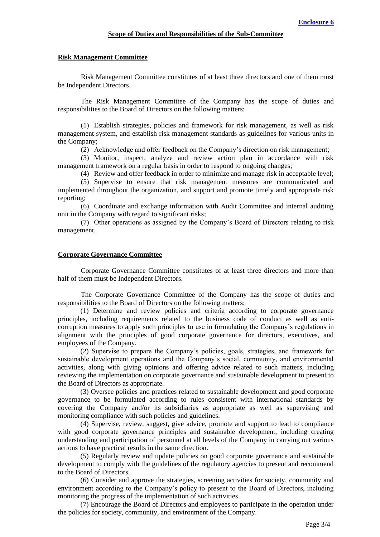### **Risk Management Committee**

Risk Management Committee constitutes of at least three directors and one of them must be Independent Directors.

The Risk Management Committee of the Company has the scope of duties and responsibilities to the Board of Directors on the following matters:

(1) Establish strategies, policies and framework for risk management, as well as risk management system, and establish risk management standards as guidelines for various units in the Company;

(2) Acknowledge and offer feedback on the Company's direction on risk management;

(3) Monitor, inspect, analyze and review action plan in accordance with risk management framework on a regular basis in order to respond to ongoing changes;

(4) Review and offer feedback in order to minimize and manage risk in acceptable level; (5) Supervise to ensure that risk management measures are communicated and implemented throughout the organization, and support and promote timely and appropriate risk reporting;

(6) Coordinate and exchange information with Audit Committee and internal auditing unit in the Company with regard to significant risks;

(7) Other operations as assigned by the Company's Board of Directors relating to risk management.

# **Corporate Governance Committee**

Corporate Governance Committee constitutes of at least three directors and more than half of them must be Independent Directors.

The Corporate Governance Committee of the Company has the scope of duties and responsibilities to the Board of Directors on the following matters:

(1) Determine and review policies and criteria according to corporate governance principles, including requirements related to the business code of conduct as well as anticorruption measures to apply such principles to use in formulating the Company's regulations in alignment with the principles of good corporate governance for directors, executives, and employees of the Company.

(2) Supervise to prepare the Company's policies, goals, strategies, and framework for sustainable development operations and the Company's social, community, and environmental activities, along with giving opinions and offering advice related to such matters, including reviewing the implementation on corporate governance and sustainable development to present to the Board of Directors as appropriate.

(3) Oversee policies and practices related to sustainable development and good corporate governance to be formulated according to rules consistent with international standards by covering the Company and/or its subsidiaries as appropriate as well as supervising and monitoring compliance with such policies and guidelines.

(4) Supervise, review, suggest, give advice, promote and support to lead to compliance with good corporate governance principles and sustainable development, including creating understanding and participation of personnel at all levels of the Company in carrying out various actions to have practical results in the same direction.

(5) Regularly review and update policies on good corporate governance and sustainable development to comply with the guidelines of the regulatory agencies to present and recommend to the Board of Directors.

(6) Consider and approve the strategies, screening activities for society, community and environment according to the Company's policy to present to the Board of Directors, including monitoring the progress of the implementation of such activities.

(7) Encourage the Board of Directors and employees to participate in the operation under the policies for society, community, and environment of the Company.